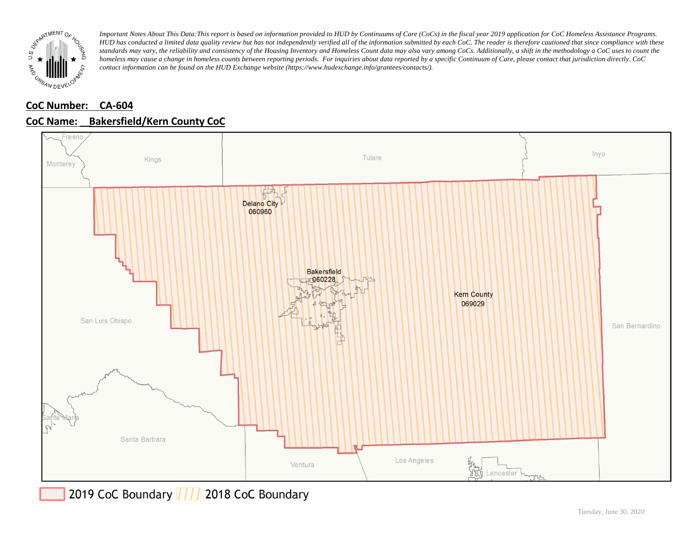

## **CoC Number: CA-604**



## **CoC Name: \_\_ Bakersfield/Kern County CoC**

2019 CoC Boundary 777 2018 CoC Boundary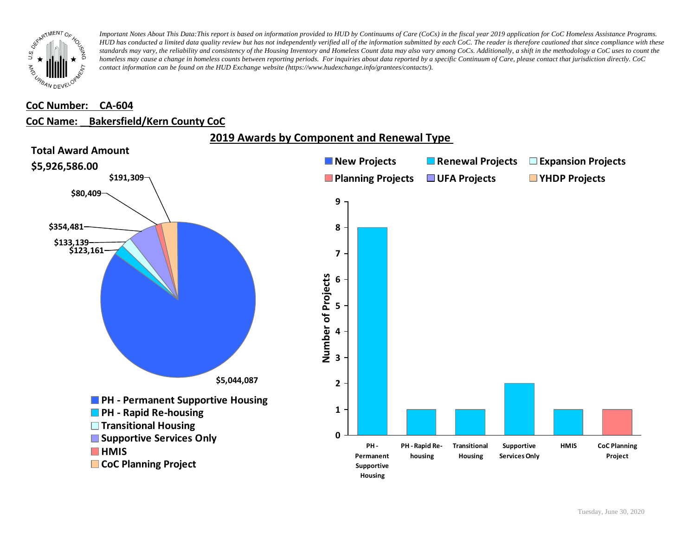

#### **CoC Number: CA-604**

#### **CoC Name: \_\_ Bakersfield/Kern County CoC**



**2019 Awards by Component and Renewal Type**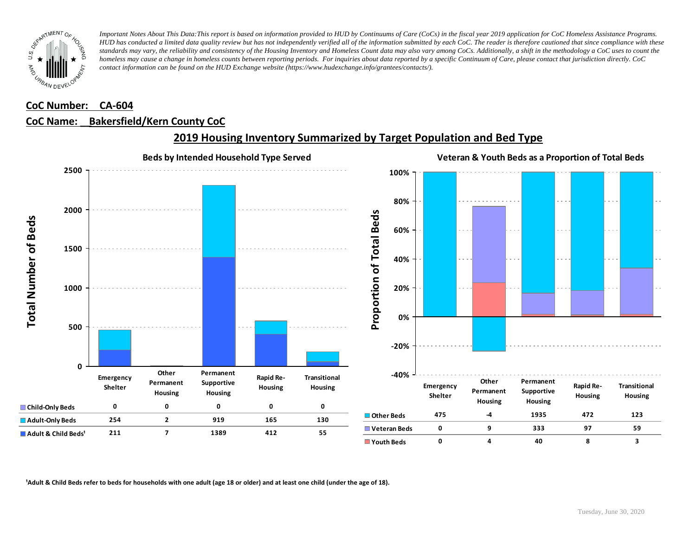![](_page_2_Picture_0.jpeg)

### **CoC Number: CA-604**

### **CoC Name: \_\_ Bakersfield/Kern County CoC**

![](_page_2_Figure_4.jpeg)

## **2019 Housing Inventory Summarized by Target Population and Bed Type**

<sup>1</sup> Adult & Child Beds refer to beds for households with one adult (age 18 or older) and at least one child (under the age of 18).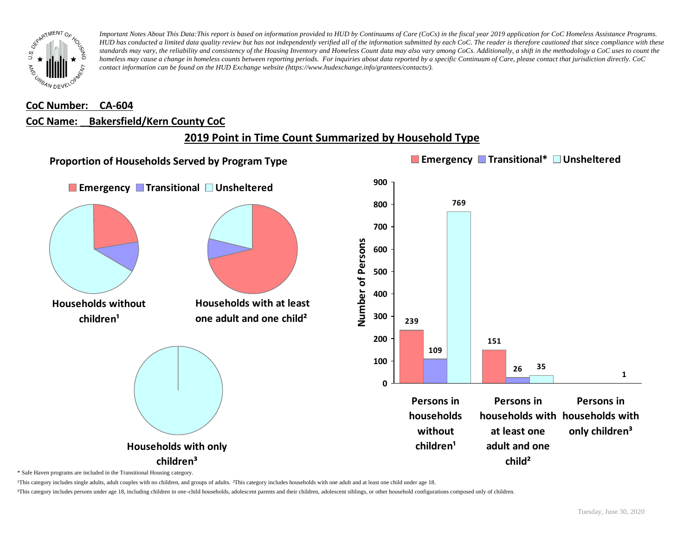![](_page_3_Picture_0.jpeg)

# **CoC Number: CA-604 CoC Name: \_\_ Bakersfield/Kern County CoC**

# **2019 Point in Time Count Summarized by Household Type**

![](_page_3_Figure_4.jpeg)

\* Safe Haven programs are included in the Transitional Housing category.

¹This category includes single adults, adult couples with no children, and groups of adults. ²This category includes households with one adult and at least one child under age 18.

³This category includes persons under age 18, including children in one-child households, adolescent parents and their children, adolescent siblings, or other household configurations composed only of children.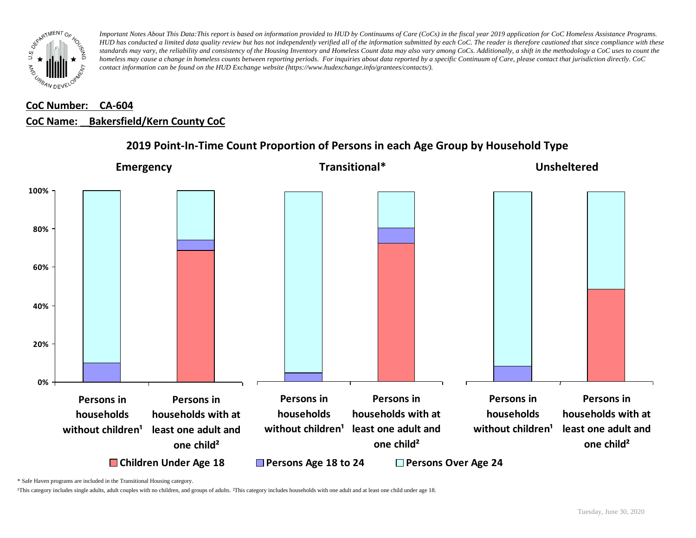![](_page_4_Picture_0.jpeg)

## **CoC Number: CA-604 CoC Name: \_\_ Bakersfield/Kern County CoC**

![](_page_4_Figure_3.jpeg)

### **2019 Point-In-Time Count Proportion of Persons in each Age Group by Household Type**

\* Safe Haven programs are included in the Transitional Housing category.

¹This category includes single adults, adult couples with no children, and groups of adults. ²This category includes households with one adult and at least one child under age 18.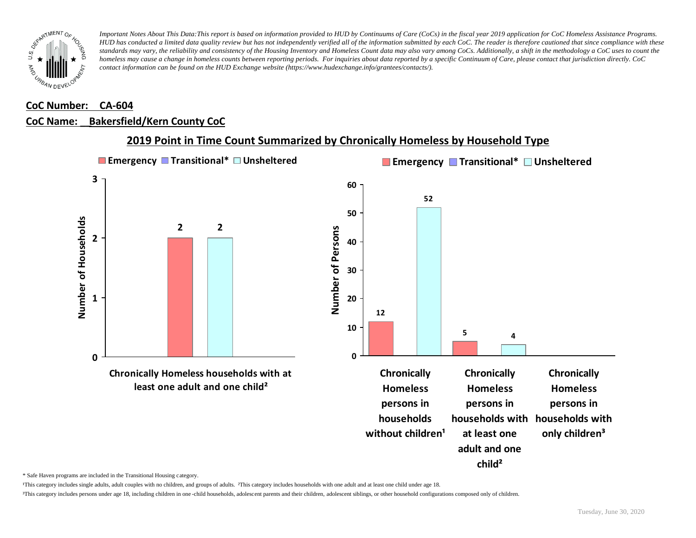![](_page_5_Picture_0.jpeg)

### **CoC Number: CA-604**

#### **CoC Name: \_\_ Bakersfield/Kern County CoC**

![](_page_5_Figure_4.jpeg)

### **2019 Point in Time Count Summarized by Chronically Homeless by Household Type**

\* Safe Haven programs are included in the Transitional Housing category.

¹This category includes single adults, adult couples with no children, and groups of adults. ²This category includes households with one adult and at least one child under age 18.

³This category includes persons under age 18, including children in one -child households, adolescent parents and their children, adolescent siblings, or other household configurations composed only of children.